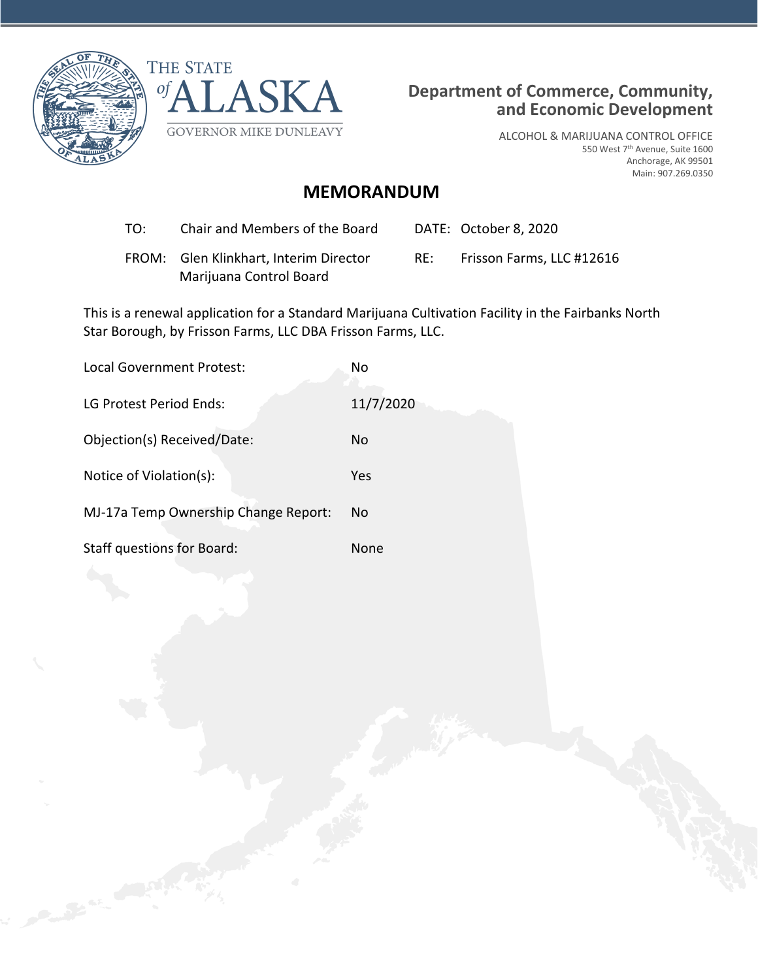



ALCOHOL & MARIJUANA CONTROL OFFICE 550 West 7th Avenue, Suite 1600 Anchorage, AK 99501 Main: 907.269.0350

# **MEMORANDUM**

- TO: Chair and Members of the Board DATE: October 8, 2020
- FROM: Glen Klinkhart, Interim Director Marijuana Control Board

RE: Frisson Farms, LLC #12616

This is a renewal application for a Standard Marijuana Cultivation Facility in the Fairbanks North Star Borough, by Frisson Farms, LLC DBA Frisson Farms, LLC.

| <b>Local Government Protest:</b>     | No        |
|--------------------------------------|-----------|
| LG Protest Period Ends:              | 11/7/2020 |
| Objection(s) Received/Date:          | No        |
| Notice of Violation(s):              | Yes       |
| MJ-17a Temp Ownership Change Report: | Nο        |
| <b>Staff questions for Board:</b>    | None      |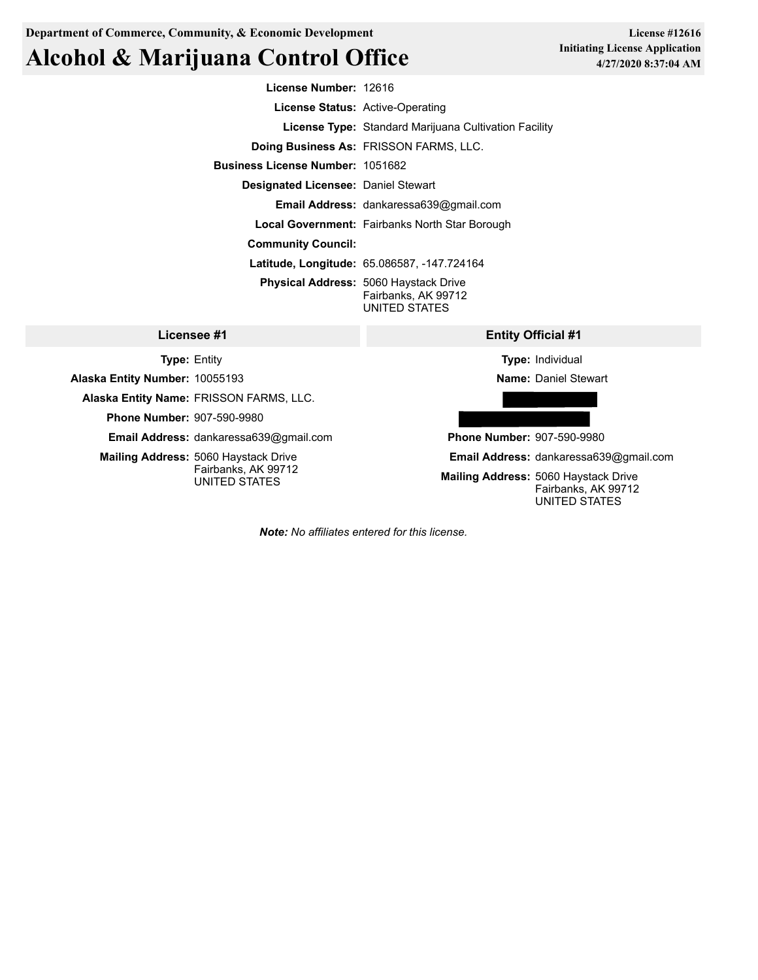**Department of Commerce, Community, & Economic Development**

# **Alcohol & Marijuana Control Office**

**License #12616 Initiating License Application 4/27/2020 8:37:04 AM**

| License Number: 12616                      |                                                                                      |
|--------------------------------------------|--------------------------------------------------------------------------------------|
|                                            | License Status: Active-Operating                                                     |
|                                            | License Type: Standard Marijuana Cultivation Facility                                |
|                                            | <b>Doing Business As: FRISSON FARMS, LLC.</b>                                        |
| <b>Business License Number: 1051682</b>    |                                                                                      |
| <b>Designated Licensee: Daniel Stewart</b> |                                                                                      |
|                                            | Email Address: dankaressa639@gmail.com                                               |
|                                            | <b>Local Government:</b> Fairbanks North Star Borough                                |
| <b>Community Council:</b>                  |                                                                                      |
|                                            | <b>Latitude, Longitude: 65.086587, -147.724164</b>                                   |
|                                            | <b>Physical Address: 5060 Haystack Drive</b><br>Fairbanks, AK 99712<br>UNITED STATES |
| #1                                         | <b>Entity Official #1</b>                                                            |

## **Licensee #1 Type:** Entity

**Alaska Entity Name:** FRISSON FARMS, LLC. **Phone Number:** 907-590-9980

**Mailing Address:** 5060 Haystack Drive

**Email Address:** dankaressa639@gmail.com

Fairbanks, AK 99712 UNITED STATES

**Alaska Entity Number:** 10055193

**Type:** Individual

**Name:** Daniel Stewart

**Phone Number:** 907-590-9980

**Email Address:** dankaressa639@gmail.com

**Mailing Address:** 5060 Haystack Drive Fairbanks, AK 99712 UNITED STATES

*Note: No affiliates entered for this license.*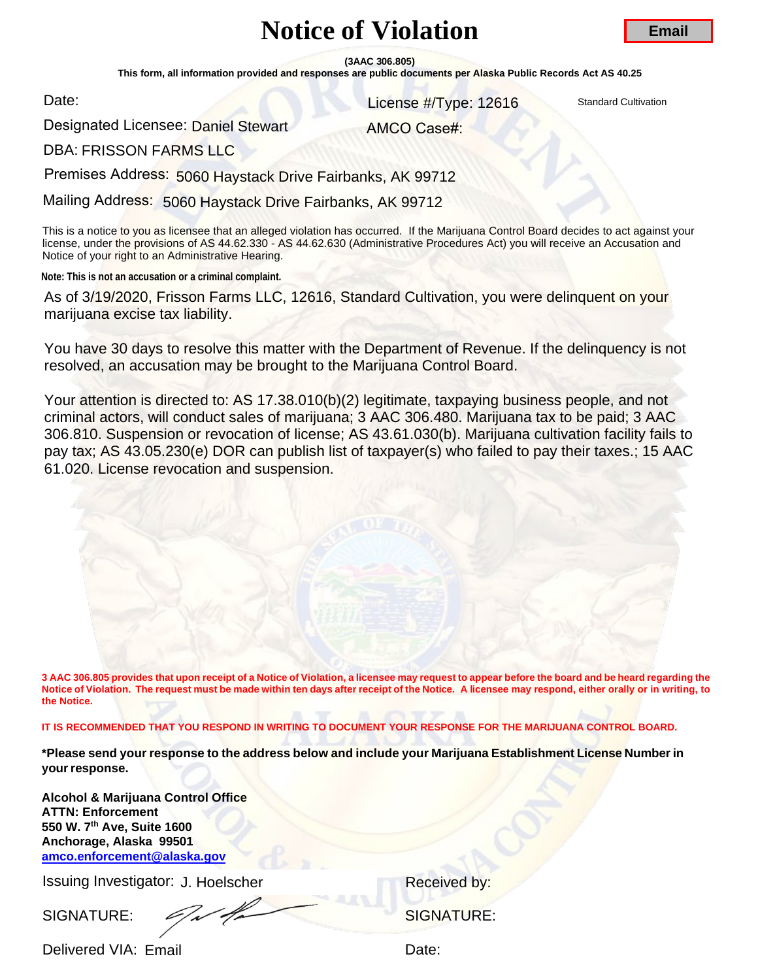# **Notice of Violation**

**(3AAC 306.805)** 

**This form, all information provided and responses are public documents per Alaska Public Records Act AS 40.25** 

Date:

License #/Type: 12616

**Standard Cultivation** 

Designated Licensee: Daniel Stewart<br>DBA: FRISSON FARMS LLC

AMCO Case#:

**DBA: FRISSON FARMS LLC** 

Premises Address: 5060 Haystack Drive Fairbanks, AK 99712

Mailing Address: 5060 Haystack Drive Fairbanks, AK 99712

This is a notice to you as licensee that an alleged violation has occurred. If the Marijuana Control Board decides to act against your license, under the provisions of AS 44.62.330 - AS 44.62.630 (Administrative Procedures Act) you will receive an Accusation and Notice of your right to an Administrative Hearing.

**Note: This is not an accusation or a criminal complaint.**

As of 3/19/2020, Frisson Farms LLC, 12616, Standard Cultivation, you were delinquent on your marijuana excise tax liability.

You have 30 days to resolve this matter with the Department of Revenue. If the delinquency is not resolved, an accusation may be brought to the Marijuana Control Board.

Your attention is directed to: AS 17.38.010(b)(2) legitimate, taxpaying business people, and not criminal actors, will conduct sales of marijuana; 3 AAC 306.480. Marijuana tax to be paid; 3 AAC 306.810. Suspension or revocation of license; AS 43.61.030(b). Marijuana cultivation facility fails to pay tax; AS 43.05.230(e) DOR can publish list of taxpayer(s) who failed to pay their taxes.; 15 AAC 61.020. License revocation and suspension. **Email**<br>
Solid Control Control Control Control Control Control Control Control Control Control Control Control Control Control Control Control Control Control Control Control Control Control Control Control Control Control

**3 AAC 306.805 provides that upon receipt of a Notice of Violation, a licensee may request to appear before the board and be heard regarding the Notice of Violation. The request must be made within ten days after receipt of the Notice. A licensee may respond, either orally or in writing, to the Notice.** 

**IT IS RECOMMENDED THAT YOU RESPOND IN WRITING TO DOCUMENT YOUR RESPONSE FOR THE MARIJUANA CONTROL BOARD.** 

**\*Please send your response to the address below and include your Marijuana Establishment License Number in your response.** 

**Alcohol & Marijuana Control Office [ATTN: Enforcement](mailto:amco.enforcement@alaska.gov)  550 W. 7th Ave, Suite 1600 Anchorage, Alaska 99501 amco.enforcement@alaska.gov**

Issuing Investigator: J. Hoelscher **Election Control Control Control Control Control Control Control Control Control Control Control Control Control Control Control Control Control Control Control Control Control Control C** 

SIGNATURE:  $\mathscr{S}$ 

Delivered VIA: Email **Delivered VIA: Email**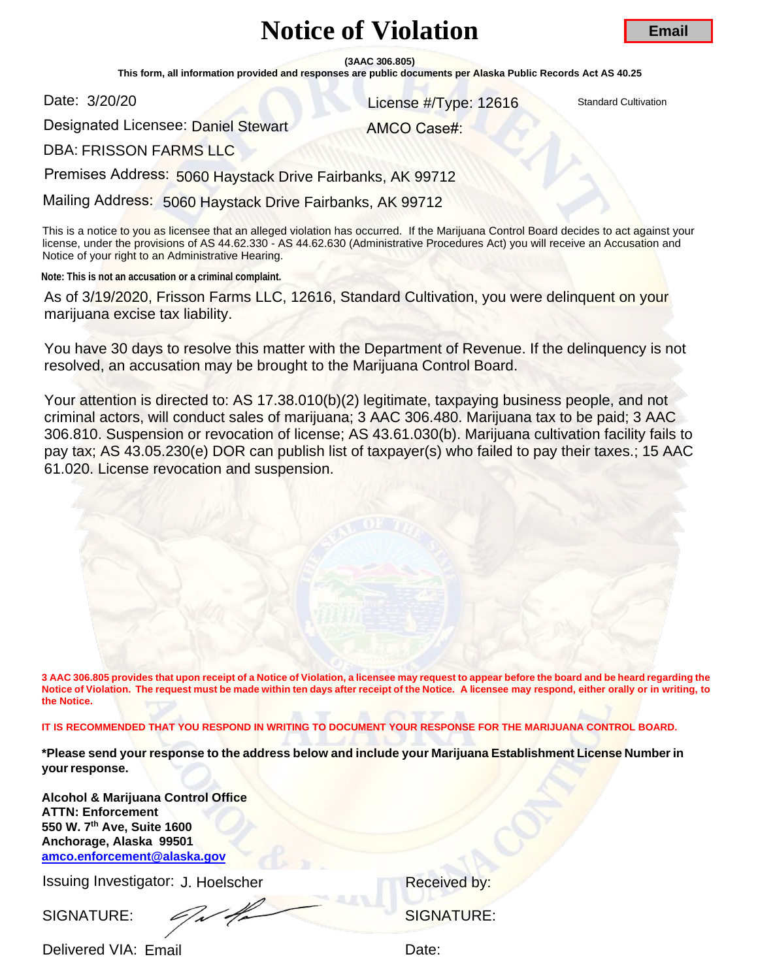# **Notice of Violation**

**(3AAC 306.805)** 

**This form, all information provided and responses are public documents per Alaska Public Records Act AS 40.25** 

Date: 3/20/20

**License #/Type: 12616** Standard Cultivation

Designated Licensee: Daniel Stewart<br>DBA: FRISSON FARMS LLC

AMCO Case#:

**DBA: FRISSON FARMS LLC** 

Premises Address: 5060 Haystack Drive Fairbanks, AK 99712

Mailing Address: 5060 Haystack Drive Fairbanks, AK 99712

This is a notice to you as licensee that an alleged violation has occurred. If the Marijuana Control Board decides to act against your license, under the provisions of AS 44.62.330 - AS 44.62.630 (Administrative Procedures Act) you will receive an Accusation and Notice of your right to an Administrative Hearing.

**Note: This is not an accusation or a criminal complaint.**

As of 3/19/2020, Frisson Farms LLC, 12616, Standard Cultivation, you were delinquent on your marijuana excise tax liability.

You have 30 days to resolve this matter with the Department of Revenue. If the delinquency is not resolved, an accusation may be brought to the Marijuana Control Board.

Your attention is directed to: AS 17.38.010(b)(2) legitimate, taxpaying business people, and not criminal actors, will conduct sales of marijuana; 3 AAC 306.480. Marijuana tax to be paid; 3 AAC 306.810. Suspension or revocation of license; AS 43.61.030(b). Marijuana cultivation facility fails to pay tax; AS 43.05.230(e) DOR can publish list of taxpayer(s) who failed to pay their taxes.; 15 AAC 61.020. License revocation and suspension. **Email**<br>
Solid Control Control Control Control Control Control Control Control Control Control Control Control Control Control Control Control Control Control Control Control Control Control Control Control Control Control

**3 AAC 306.805 provides that upon receipt of a Notice of Violation, a licensee may request to appear before the board and be heard regarding the Notice of Violation. The request must be made within ten days after receipt of the Notice. A licensee may respond, either orally or in writing, to the Notice.** 

**IT IS RECOMMENDED THAT YOU RESPOND IN WRITING TO DOCUMENT YOUR RESPONSE FOR THE MARIJUANA CONTROL BOARD.** 

**\*Please send your response to the address below and include your Marijuana Establishment License Number in your response.** 

**Alcohol & Marijuana Control Office [ATTN: Enforcement](mailto:amco.enforcement@alaska.gov)  550 W. 7th Ave, Suite 1600 Anchorage, Alaska 99501 amco.enforcement@alaska.gov**

Issuing Investigator: J. Hoelscher **Election Control Control Control Control Control Control Control Control Control Control Control Control Control Control Control Control Control Control Control Control Control Control C** 

SIGNATURE: Signature: SIGNATURE:

Delivered VIA: Email **Delivered VIA: Email**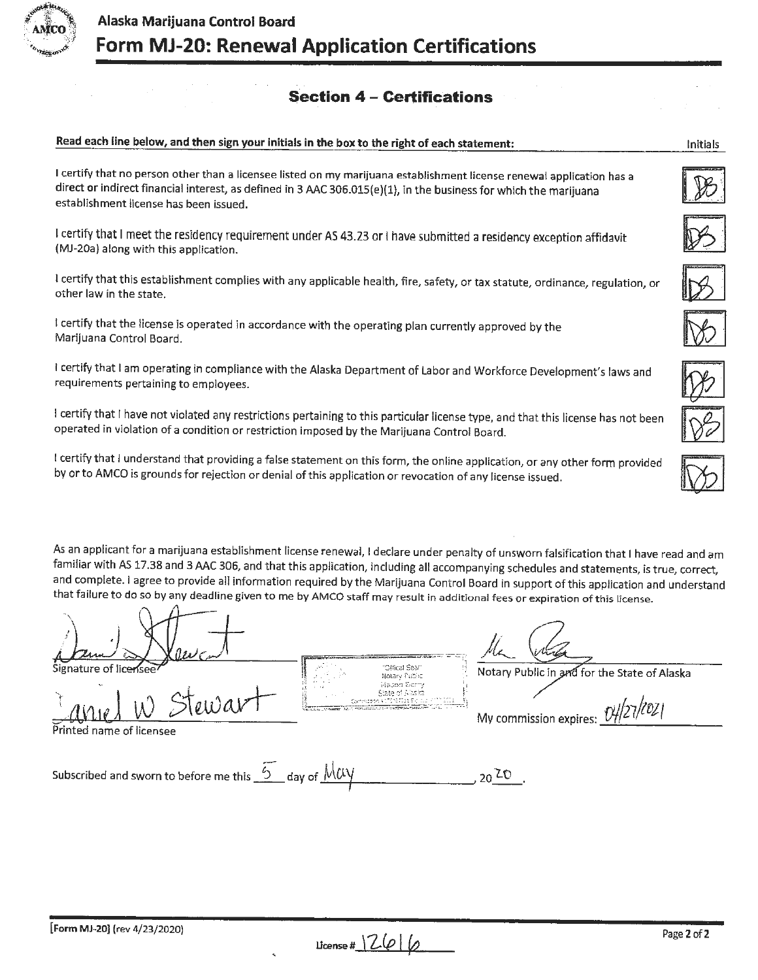

**Read each line below, and then sign your initials in the box to the right of each statement:** 

## **Section 4 - Certifications**

## I certify that no person other than a licensee listed on my marijuana establishment license renewal application has a direct or indirect financial interest, as defined in 3 AAC 306.015(e)(1), in the business for which the marijuana establishment license has been issued. I certify that I meet the residency requirement under AS 43.23 or I have submitted a residency exception affidavit (MJ-20a) along with this application. I certify that this establishment complies with any applicable health, fire, safety, or tax statute, ordinance, regulation, or other law in the state.

I certify that the license is operated in accordance with the operating plan currently approved by the Marijuana Control Board.

I certify that I am operating in compliance with the Alaska Department of Labor and Workforce Development's laws and requirements pertaining to employees.

I certify that I have not violated any restrictions pertaining to this particular license type, and that this license has not been operated in violation of a condition or restriction imposed by the Marijuana Control Board.

I certify that I understand that providing a false statement on this form, the online application, or any other form provided by or to AMCO is grounds for rejection or denial of this application or revocation of any license issued.

As an applicant for a marijuana establishment license renewal, I declare under penalty of unsworn falsification that I have read and am familiar with AS 17.38 and 3 AAC 306, and that this application, including all accompanying schedules and statements, is true, correct, and complete. I agree to provide all information required by the Marijuana Control Board in support of this application and understand that failure to do so by any deadline given to me by AMCO staff may result in additional fees or expiration of this license.

"Offical Seal" Notary Public in and for the State of Alaska Notary Public Mabon Ser State of Alaska <u>Laniel W Stewart</u> *-,! (zoz·* My commission expires: fJ./127 <sup>f</sup> Printed name of licensee Subscribed and sworn to before me this  $\overline{2}$  day of  $\overline{\mathcal{M}\alpha\gamma}$  ...  $\overline{\mathcal{M}\alpha}$  ...  $20$   $20$ 



Initials



| --<br>۰                               |
|---------------------------------------|
| $\overline{\mathcal{L}(\mathcal{C})}$ |

**License #**  $26$  |  $\sqrt{2}$  **Page 2 of 2**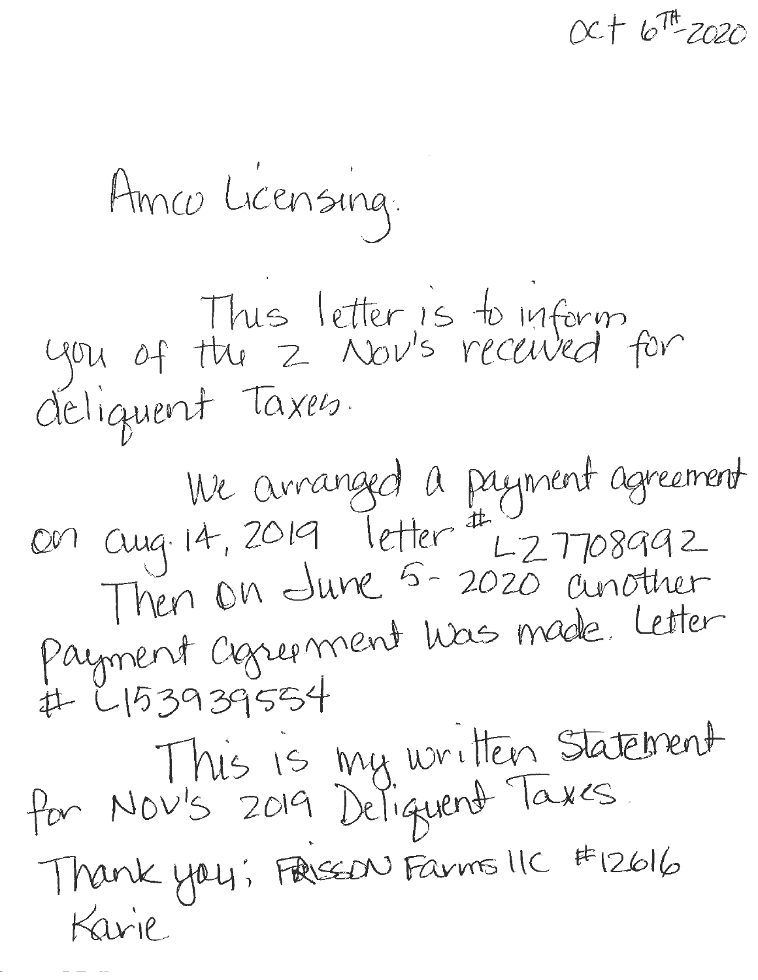**CL·r to 1t <sup>2020</sup>**

Amro Licensing. .<br>.<br>. This letter is to inform you of the 2 Nov's received for deJ 1~ent *Toxe0 .*  We arranged a payment agreement<br>con cuig 14, 2019 letter # L 2 7708992 Then On dune 5-2020 another I letter en Europart was made Letter nt cogreement was mode. Concrete<br>39395554<br>This is my written statement # L153939554 for Nov's 2019 Deliguent Taxes.<br>Thank you; Free Family Faxes.  $Karile$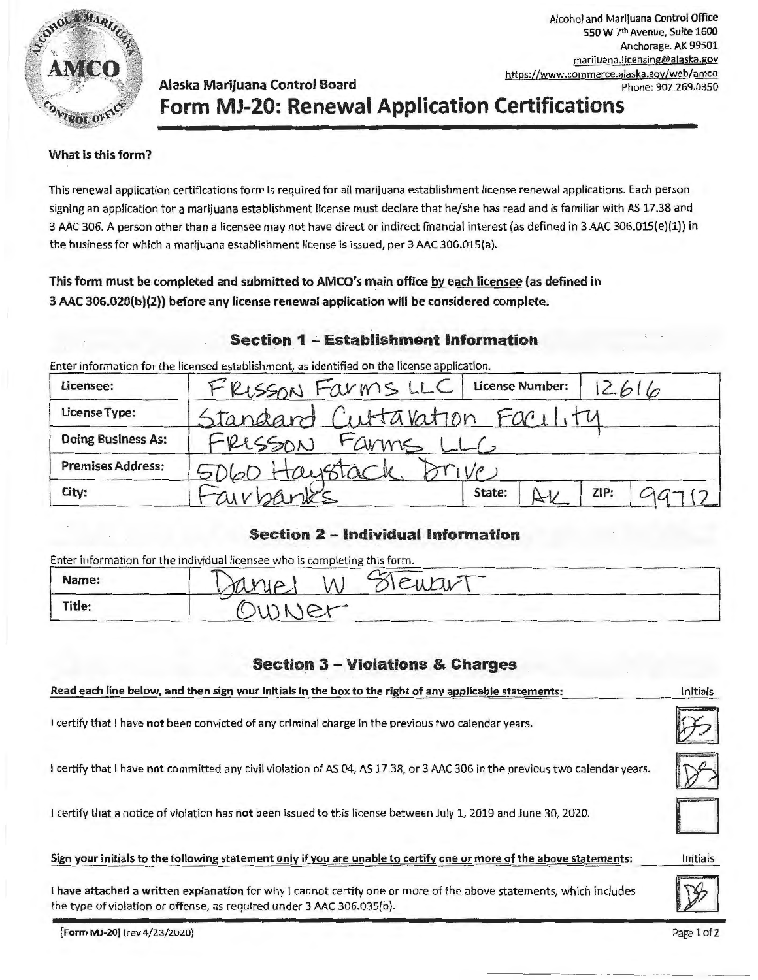

## Alaska Marijuana Control Board **Phone: 907.269.0350 Form MJ-20: Renewal Application Certifications**

#### **What is this form?**

This renewal application certifications form is required for all marijuana establishment license renewal applications. Each person signing an application for a marijuana establishment license must declare that he/she has read and is familiar with AS 17.38 and 3 AAC 306. A person other than a licensee may not have direct or indirect financial interest (as defined in 3 AAC 306.0lS(e)(l)) in the business for which a marijuana establishment license is issued, per 3 AAC 306.015(a).

### **This form must be completed and submitted to AMCO's main office by each licensee (as defined in 3 AAC 306.020(b){2)) before any license renewal application will be considered complete.**

## **Section 1 - Establishment Information**

Enter information for the licensed establishment, as identified on the license application.

| Licensee:                 | FRISSON Farms LLC             |        | <b>License Number:</b> |      | 2616 |
|---------------------------|-------------------------------|--------|------------------------|------|------|
| License Type:             | Standard Cuttavation Facility |        |                        |      |      |
| <b>Doing Business As:</b> | FRISSON FAMMS LLC             |        |                        |      |      |
| <b>Premises Address:</b>  | 5060 Haystack                 |        |                        |      |      |
| City:                     | Fairbanks                     | State: |                        | ZIP: |      |

### **Section 2 - Individual Information**

Enter information for the individual licensee who is completing this form.

| Name:  | ucu<br>N<br>70 <sup>2</sup> |  |
|--------|-----------------------------|--|
| Title: | $\tilde{}$                  |  |

## **Section 3 - Violations & Charges**

| Read each line below, and then sign your initials in the box to the right of any applicable statements:                                                                                     |             |
|---------------------------------------------------------------------------------------------------------------------------------------------------------------------------------------------|-------------|
| I certify that I have not been convicted of any criminal charge in the previous two calendar years.                                                                                         |             |
| I certify that I have not committed any civil violation of AS 04, AS 17.38, or 3 AAC 306 in the previous two calendar years.                                                                |             |
| I certify that a notice of violation has not been issued to this license between July 1, 2019 and June 30, 2020.                                                                            |             |
| Sign your initials to the following statement only if you are unable to certify one or more of the above statements:                                                                        | Initials    |
| I have attached a written explanation for why I cannot certify one or more of the above statements, which includes<br>the type of violation or offense, as required under 3 AAC 306.035(b). |             |
| Form MJ-20] (rev 4/23/2020)                                                                                                                                                                 | Page 1 of 2 |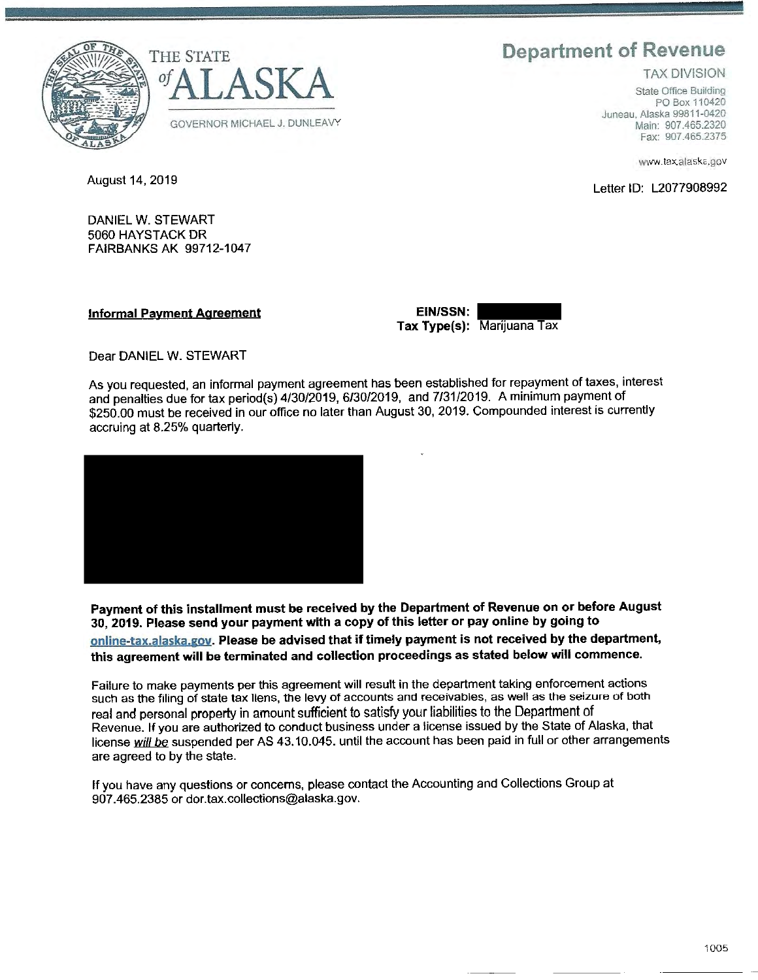# **Department of Revenue**

TAX DIVISION

State Office Building PO Box 110420 Juneau, Alaska 99811-0420 Main: 907.465.2320 Fax: 907.465.2375

www.tax.alaska.gov

August 14, 2019 Letter ID: L2077908992





DANIEL W. STEWART 5060 HAYSTACK DR FAIRBANKS AK 99712-1047

**Informal Payment Agreement** 

**EIN/SSN:**<br> **Tax Type(s):** Marijuana Tax

Dear DANIEL W. STEWART

As you requested, an informal payment agreement has been established for repayment of taxes, interest and penalties due for tax period(s) 4/30/2019, 6/30/2019, and 7/31/2019. A minimum payment of \$250.00 must be received in our office no later than August 30, 2019. Compounded interest is currently accruing at 8.25% quarterly.



**Payment of this installment must be received by the Department of Revenue on or before August 30, 2019. Please send your payment with a copy of this letter or pay online by going to online-tax.aiaska.gov. Please be advised that if timely payment is not received by the department, this agreement will be terminated and collection proceedings as stated below will commence.** 

Failure to make payments per this agreement will result in the department taking enforcement actions such as the filing of state tax liens, the levy of accounts and receivables, as well as the seizure of both real and personal property in amount sufficient to satisfy your liabilities to the Department of Revenue. If you are authorized to conduct business under a license issued by the State of Alaska, that license will be suspended per AS 43.10.045. until the account has been paid in full or other arrangements are agreed to by the state.

If you have any questions or concerns, please contact the Accounting and Collections Group at 907.465.2385 or dor.tax.collections@alaska.gov.